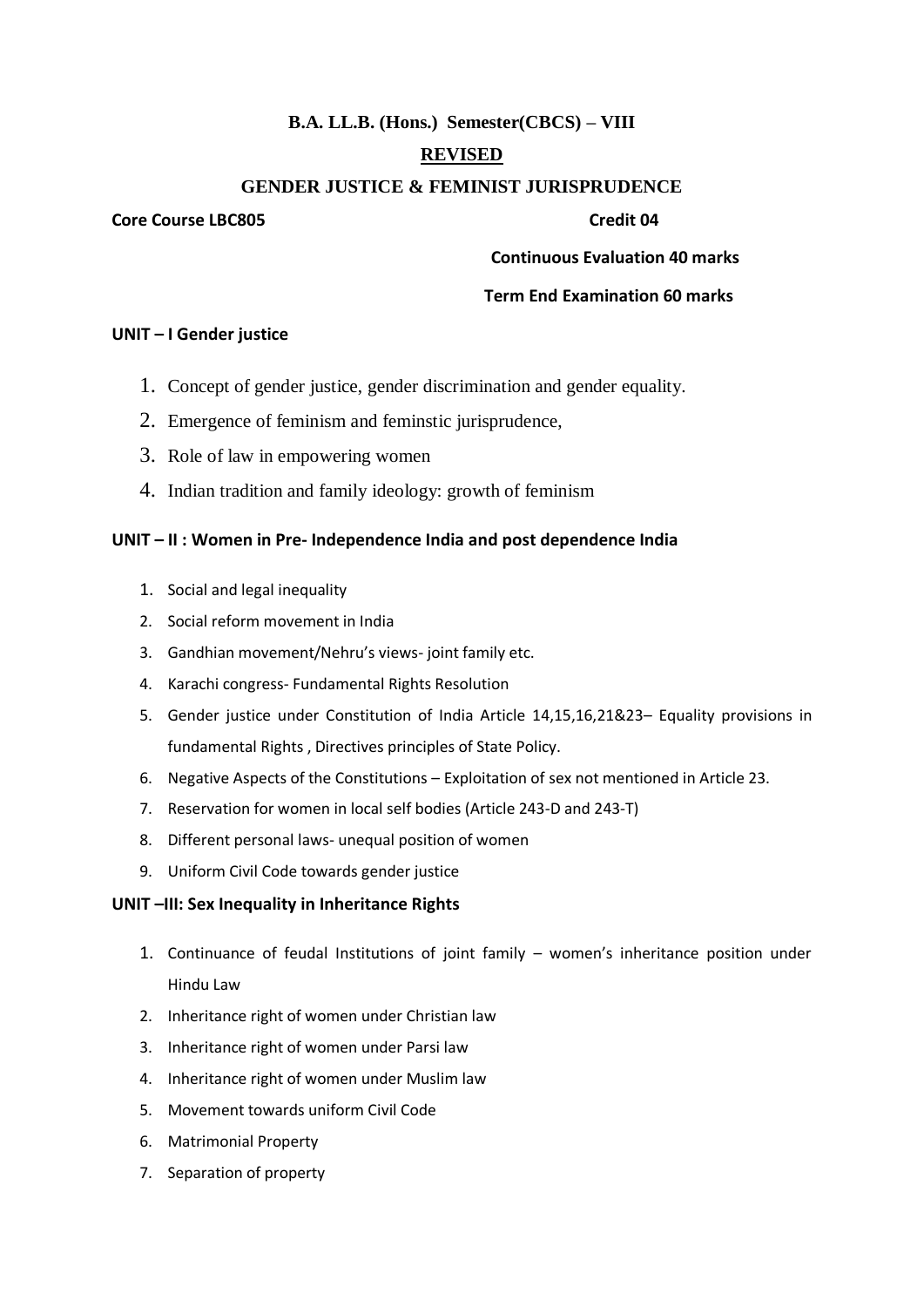# **B.A. LL.B. (Hons.) Semester(CBCS) – VIII**

# **REVISED**

## **GENDER JUSTICE & FEMINIST JURISPRUDENCE**

#### **Core Course LBC805 Credit 04**

 **Continuous Evaluation 40 marks**

# **Term End Examination 60 marks**

#### **UNIT – I Gender justice**

- 1. Concept of gender justice, gender discrimination and gender equality.
- 2. Emergence of feminism and feminstic jurisprudence,
- 3. Role of law in empowering women
- 4. Indian tradition and family ideology: growth of feminism

# **UNIT – II : Women in Pre- Independence India and post dependence India**

- 1. Social and legal inequality
- 2. Social reform movement in India
- 3. Gandhian movement/Nehru's views- joint family etc.
- 4. Karachi congress- Fundamental Rights Resolution
- 5. Gender justice under Constitution of India Article 14,15,16,21&23– Equality provisions in fundamental Rights , Directives principles of State Policy.
- 6. Negative Aspects of the Constitutions Exploitation of sex not mentioned in Article 23.
- 7. Reservation for women in local self bodies (Article 243-D and 243-T)
- 8. Different personal laws- unequal position of women
- 9. Uniform Civil Code towards gender justice

## **UNIT –III: Sex Inequality in Inheritance Rights**

- 1. Continuance of feudal Institutions of joint family women's inheritance position under Hindu Law
- 2. Inheritance right of women under Christian law
- 3. Inheritance right of women under Parsi law
- 4. Inheritance right of women under Muslim law
- 5. Movement towards uniform Civil Code
- 6. Matrimonial Property
- 7. Separation of property